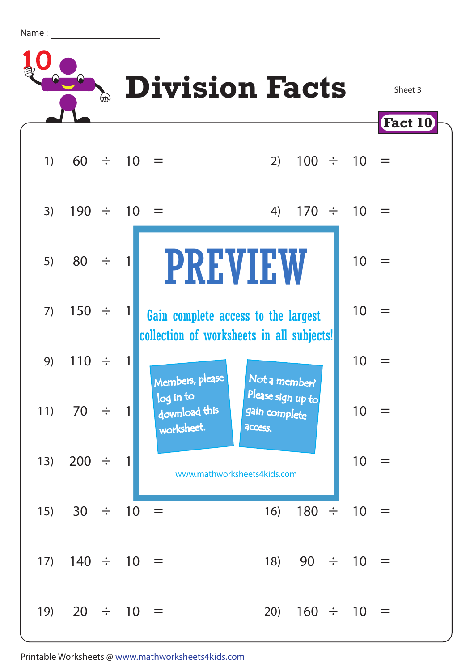Name :